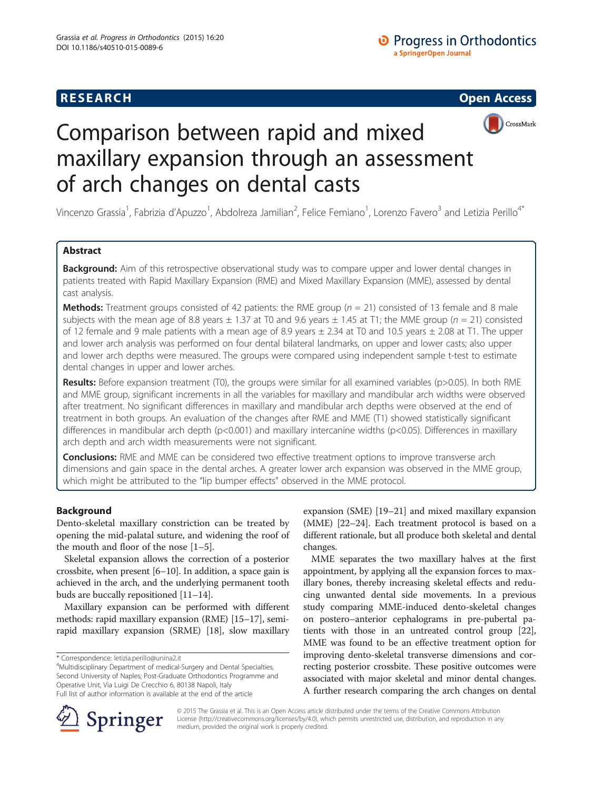# **RESEARCH RESEARCH CONSUMING ACCESS**



# Comparison between rapid and mixed maxillary expansion through an assessment of arch changes on dental casts

Vincenzo Grassia<sup>1</sup>, Fabrizia d'Apuzzo<sup>1</sup>, Abdolreza Jamilian<sup>2</sup>, Felice Femiano<sup>1</sup>, Lorenzo Favero<sup>3</sup> and Letizia Perillo<sup>4\*</sup>

## Abstract

Background: Aim of this retrospective observational study was to compare upper and lower dental changes in patients treated with Rapid Maxillary Expansion (RME) and Mixed Maxillary Expansion (MME), assessed by dental cast analysis.

**Methods:** Treatment groups consisted of 42 patients: the RME group ( $n = 21$ ) consisted of 13 female and 8 male subjects with the mean age of 8.8 years  $\pm$  1.37 at T0 and 9.6 years  $\pm$  1.45 at T1; the MME group ( $n = 21$ ) consisted of 12 female and 9 male patients with a mean age of 8.9 years  $\pm$  2.34 at T0 and 10.5 years  $\pm$  2.08 at T1. The upper and lower arch analysis was performed on four dental bilateral landmarks, on upper and lower casts; also upper and lower arch depths were measured. The groups were compared using independent sample t-test to estimate dental changes in upper and lower arches.

Results: Before expansion treatment (T0), the groups were similar for all examined variables (p>0.05). In both RME and MME group, significant increments in all the variables for maxillary and mandibular arch widths were observed after treatment. No significant differences in maxillary and mandibular arch depths were observed at the end of treatment in both groups. An evaluation of the changes after RME and MME (T1) showed statistically significant differences in mandibular arch depth (p<0.001) and maxillary intercanine widths (p<0.05). Differences in maxillary arch depth and arch width measurements were not significant.

**Conclusions:** RME and MME can be considered two effective treatment options to improve transverse arch dimensions and gain space in the dental arches. A greater lower arch expansion was observed in the MME group, which might be attributed to the "lip bumper effects" observed in the MME protocol.

## Background

Dento-skeletal maxillary constriction can be treated by opening the mid-palatal suture, and widening the roof of the mouth and floor of the nose [\[1](#page-5-0)–[5](#page-5-0)].

Skeletal expansion allows the correction of a posterior crossbite, when present [\[6](#page-5-0)–[10](#page-6-0)]. In addition, a space gain is achieved in the arch, and the underlying permanent tooth buds are buccally repositioned [[11](#page-6-0)–[14\]](#page-6-0).

Maxillary expansion can be performed with different methods: rapid maxillary expansion (RME) [\[15](#page-6-0)–[17](#page-6-0)], semirapid maxillary expansion (SRME) [\[18\]](#page-6-0), slow maxillary

\* Correspondence: [letizia.perillo@unina2.it](mailto:letizia.perillo@unina2.it) <sup>4</sup>

Multidisciplinary Department of medical-Surgery and Dental Specialties, Second University of Naples; Post-Graduate Orthodontics Programme and Operative Unit, Via Luigi De Crecchio 6, 80138 Napoli, Italy Full list of author information is available at the end of the article

expansion (SME) [\[19](#page-6-0)–[21](#page-6-0)] and mixed maxillary expansion (MME) [[22](#page-6-0)–[24\]](#page-6-0). Each treatment protocol is based on a different rationale, but all produce both skeletal and dental changes.

MME separates the two maxillary halves at the first appointment, by applying all the expansion forces to maxillary bones, thereby increasing skeletal effects and reducing unwanted dental side movements. In a previous study comparing MME-induced dento-skeletal changes on postero–anterior cephalograms in pre-pubertal patients with those in an untreated control group [[22](#page-6-0)], MME was found to be an effective treatment option for improving dento-skeletal transverse dimensions and correcting posterior crossbite. These positive outcomes were associated with major skeletal and minor dental changes. A further research comparing the arch changes on dental



© 2015 The Grassia et al. This is an Open Access article distributed under the terms of the Creative Commons Attribution License [\(http://creativecommons.org/licenses/by/4.0\)](http://creativecommons.org/licenses/by/4.0), which permits unrestricted use, distribution, and reproduction in any medium, provided the original work is properly credited.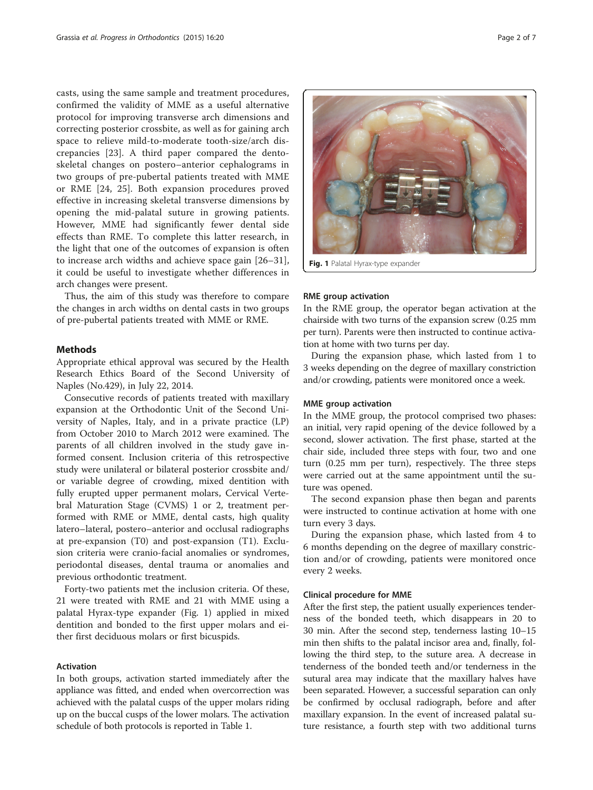casts, using the same sample and treatment procedures, confirmed the validity of MME as a useful alternative protocol for improving transverse arch dimensions and correcting posterior crossbite, as well as for gaining arch space to relieve mild-to-moderate tooth-size/arch discrepancies [[23](#page-6-0)]. A third paper compared the dentoskeletal changes on postero–anterior cephalograms in two groups of pre-pubertal patients treated with MME or RME [\[24](#page-6-0), [25\]](#page-6-0). Both expansion procedures proved effective in increasing skeletal transverse dimensions by opening the mid-palatal suture in growing patients. However, MME had significantly fewer dental side effects than RME. To complete this latter research, in the light that one of the outcomes of expansion is often to increase arch widths and achieve space gain [\[26](#page-6-0)–[31](#page-6-0)], it could be useful to investigate whether differences in arch changes were present.

Thus, the aim of this study was therefore to compare the changes in arch widths on dental casts in two groups of pre-pubertal patients treated with MME or RME.

#### Methods

Appropriate ethical approval was secured by the Health Research Ethics Board of the Second University of Naples (No.429), in July 22, 2014.

Consecutive records of patients treated with maxillary expansion at the Orthodontic Unit of the Second University of Naples, Italy, and in a private practice (LP) from October 2010 to March 2012 were examined. The parents of all children involved in the study gave informed consent. Inclusion criteria of this retrospective study were unilateral or bilateral posterior crossbite and/ or variable degree of crowding, mixed dentition with fully erupted upper permanent molars, Cervical Vertebral Maturation Stage (CVMS) 1 or 2, treatment performed with RME or MME, dental casts, high quality latero–lateral, postero–anterior and occlusal radiographs at pre-expansion (T0) and post-expansion (T1). Exclusion criteria were cranio-facial anomalies or syndromes, periodontal diseases, dental trauma or anomalies and previous orthodontic treatment.

Forty-two patients met the inclusion criteria. Of these, 21 were treated with RME and 21 with MME using a palatal Hyrax-type expander (Fig. 1) applied in mixed dentition and bonded to the first upper molars and either first deciduous molars or first bicuspids.

#### Activation

In both groups, activation started immediately after the appliance was fitted, and ended when overcorrection was achieved with the palatal cusps of the upper molars riding up on the buccal cusps of the lower molars. The activation schedule of both protocols is reported in Table [1.](#page-2-0)



Fig. 1 Palatal Hyrax-type expander

#### RME group activation

In the RME group, the operator began activation at the chairside with two turns of the expansion screw (0.25 mm per turn). Parents were then instructed to continue activation at home with two turns per day.

During the expansion phase, which lasted from 1 to 3 weeks depending on the degree of maxillary constriction and/or crowding, patients were monitored once a week.

#### MME group activation

In the MME group, the protocol comprised two phases: an initial, very rapid opening of the device followed by a second, slower activation. The first phase, started at the chair side, included three steps with four, two and one turn (0.25 mm per turn), respectively. The three steps were carried out at the same appointment until the suture was opened.

The second expansion phase then began and parents were instructed to continue activation at home with one turn every 3 days.

During the expansion phase, which lasted from 4 to 6 months depending on the degree of maxillary constriction and/or of crowding, patients were monitored once every 2 weeks.

#### Clinical procedure for MME

After the first step, the patient usually experiences tenderness of the bonded teeth, which disappears in 20 to 30 min. After the second step, tenderness lasting 10–15 min then shifts to the palatal incisor area and, finally, following the third step, to the suture area. A decrease in tenderness of the bonded teeth and/or tenderness in the sutural area may indicate that the maxillary halves have been separated. However, a successful separation can only be confirmed by occlusal radiograph, before and after maxillary expansion. In the event of increased palatal suture resistance, a fourth step with two additional turns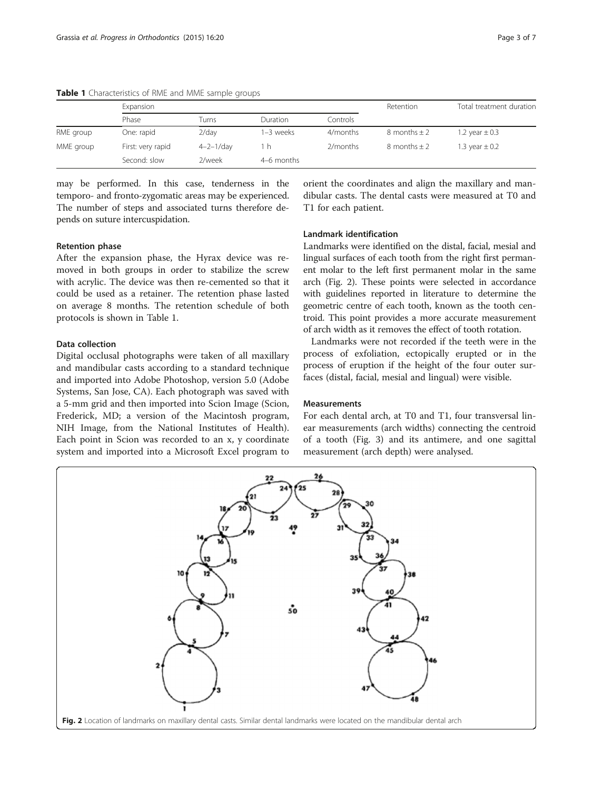|           | Expansion         |                  | Retention  | Total treatment duration |                  |                    |
|-----------|-------------------|------------------|------------|--------------------------|------------------|--------------------|
|           | Phase             | ūrns             | Duration   | Controls                 |                  |                    |
| RME group | One: rapid        | $2$ /day         | 1–3 weeks  | 4/months                 | 8 months $\pm$ 2 | 1.2 year $\pm$ 0.3 |
| MME group | First: very rapid | $4 - 2 - 1$ /day | - h        | 2/months                 | 8 months $\pm$ 2 | 1.3 year $\pm$ 0.2 |
|           | Second: slow      | 2/week           | 4–6 months |                          |                  |                    |

<span id="page-2-0"></span>Table 1 Characteristics of RME and MME sample groups

may be performed. In this case, tenderness in the temporo- and fronto-zygomatic areas may be experienced. The number of steps and associated turns therefore depends on suture intercuspidation.

orient the coordinates and align the maxillary and mandibular casts. The dental casts were measured at T0 and T1 for each patient.

#### Retention phase

After the expansion phase, the Hyrax device was removed in both groups in order to stabilize the screw with acrylic. The device was then re-cemented so that it could be used as a retainer. The retention phase lasted on average 8 months. The retention schedule of both protocols is shown in Table 1.

#### Data collection

Digital occlusal photographs were taken of all maxillary and mandibular casts according to a standard technique and imported into Adobe Photoshop, version 5.0 (Adobe Systems, San Jose, CA). Each photograph was saved with a 5-mm grid and then imported into Scion Image (Scion, Frederick, MD; a version of the Macintosh program, NIH Image, from the National Institutes of Health). Each point in Scion was recorded to an x, y coordinate system and imported into a Microsoft Excel program to

#### Landmark identification

Landmarks were identified on the distal, facial, mesial and lingual surfaces of each tooth from the right first permanent molar to the left first permanent molar in the same arch (Fig. 2). These points were selected in accordance with guidelines reported in literature to determine the geometric centre of each tooth, known as the tooth centroid. This point provides a more accurate measurement of arch width as it removes the effect of tooth rotation.

Landmarks were not recorded if the teeth were in the process of exfoliation, ectopically erupted or in the process of eruption if the height of the four outer surfaces (distal, facial, mesial and lingual) were visible.

#### **Measurements**

For each dental arch, at T0 and T1, four transversal linear measurements (arch widths) connecting the centroid of a tooth (Fig. [3](#page-3-0)) and its antimere, and one sagittal measurement (arch depth) were analysed.

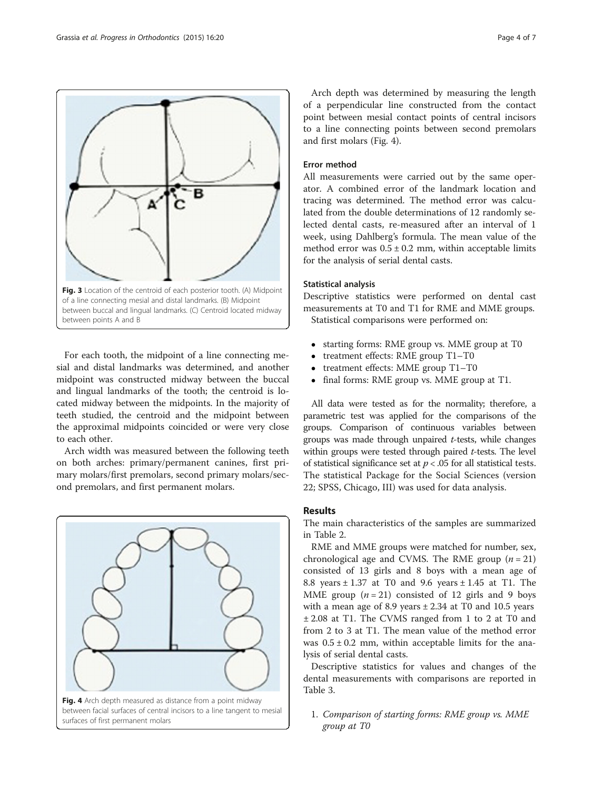<span id="page-3-0"></span>

For each tooth, the midpoint of a line connecting mesial and distal landmarks was determined, and another midpoint was constructed midway between the buccal and lingual landmarks of the tooth; the centroid is located midway between the midpoints. In the majority of teeth studied, the centroid and the midpoint between the approximal midpoints coincided or were very close to each other.

Arch width was measured between the following teeth on both arches: primary/permanent canines, first primary molars/first premolars, second primary molars/second premolars, and first permanent molars.



between facial surfaces of central incisors to a line tangent to mesial surfaces of first permanent molars

Arch depth was determined by measuring the length of a perpendicular line constructed from the contact point between mesial contact points of central incisors to a line connecting points between second premolars and first molars (Fig. 4).

#### Error method

All measurements were carried out by the same operator. A combined error of the landmark location and tracing was determined. The method error was calculated from the double determinations of 12 randomly selected dental casts, re-measured after an interval of 1 week, using Dahlberg's formula. The mean value of the method error was  $0.5 \pm 0.2$  mm, within acceptable limits for the analysis of serial dental casts.

#### Statistical analysis

Descriptive statistics were performed on dental cast measurements at T0 and T1 for RME and MME groups. Statistical comparisons were performed on:

- starting forms: RME group vs. MME group at T0<br>• treatment effects: RME group T1–T0
- treatment effects: RME group T1-T0<br>● treatment effects: MME group T1-T0
- treatment effects: MME group  $T1-T0$ <br>• final forms: RME group ys. MME grou
- final forms: RME group vs. MME group at T1.

All data were tested as for the normality; therefore, a parametric test was applied for the comparisons of the groups. Comparison of continuous variables between groups was made through unpaired  $t$ -tests, while changes within groups were tested through paired  $t$ -tests. The level of statistical significance set at  $p < .05$  for all statistical tests. The statistical Package for the Social Sciences (version 22; SPSS, Chicago, III) was used for data analysis.

#### Results

The main characteristics of the samples are summarized in Table [2.](#page-4-0)

RME and MME groups were matched for number, sex, chronological age and CVMS. The RME group  $(n = 21)$ consisted of 13 girls and 8 boys with a mean age of 8.8 years ± 1.37 at T0 and 9.6 years ± 1.45 at T1. The MME group  $(n = 21)$  consisted of 12 girls and 9 boys with a mean age of 8.9 years  $\pm 2.34$  at T0 and 10.5 years ± 2.08 at T1. The CVMS ranged from 1 to 2 at T0 and from 2 to 3 at T1. The mean value of the method error was  $0.5 \pm 0.2$  mm, within acceptable limits for the analysis of serial dental casts.

Descriptive statistics for values and changes of the dental measurements with comparisons are reported in Table [3.](#page-4-0)

1. Comparison of starting forms: RME group vs. MME group at T0  $\mathcal{S}$  at T<sub>0</sub>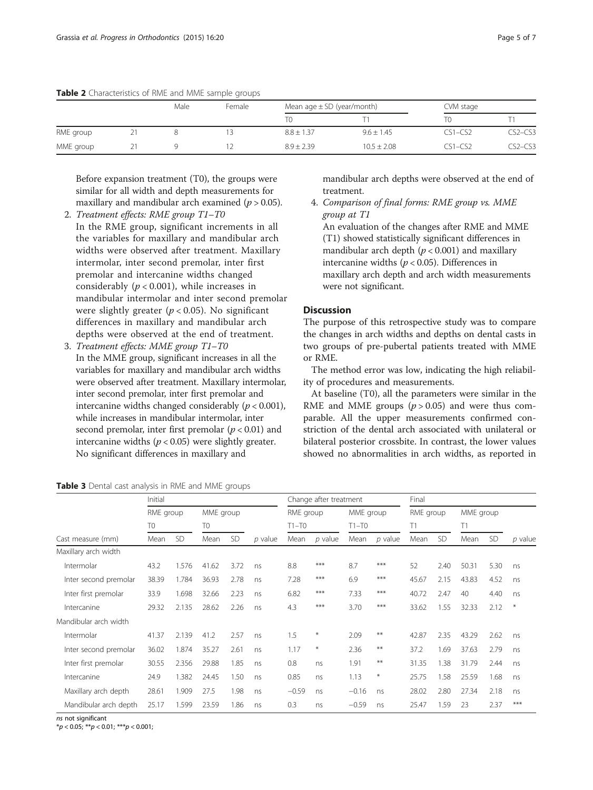|           | Male | Female | Mean age $\pm$ SD (year/month) |                 | CVM stage   |            |  |  |
|-----------|------|--------|--------------------------------|-----------------|-------------|------------|--|--|
|           |      |        | T0                             |                 |             |            |  |  |
| RME group |      |        | $8.8 \pm 1.37$                 | $9.6 \pm 1.45$  | $CS1 - CS2$ | CS2-CS3    |  |  |
| MME group |      |        | $8.9 \pm 2.39$                 | $10.5 \pm 2.08$ | $CS1 - CS2$ | $CS2$ -CS3 |  |  |

#### <span id="page-4-0"></span>Table 2 Characteristics of RME and MME sample groups

Before expansion treatment (T0), the groups were similar for all width and depth measurements for maxillary and mandibular arch examined ( $p > 0.05$ ).

- 2. Treatment effects: RME group T1–T0 In the RME group, significant increments in all the variables for maxillary and mandibular arch widths were observed after treatment. Maxillary intermolar, inter second premolar, inter first premolar and intercanine widths changed considerably ( $p < 0.001$ ), while increases in mandibular intermolar and inter second premolar were slightly greater ( $p < 0.05$ ). No significant differences in maxillary and mandibular arch depths were observed at the end of treatment.
- 3. Treatment effects: MME group T1–T0 In the MME group, significant increases in all the variables for maxillary and mandibular arch widths were observed after treatment. Maxillary intermolar, inter second premolar, inter first premolar and intercanine widths changed considerably ( $p < 0.001$ ), while increases in mandibular intermolar, inter second premolar, inter first premolar ( $p < 0.01$ ) and intercanine widths ( $p < 0.05$ ) were slightly greater. No significant differences in maxillary and

mandibular arch depths were observed at the end of treatment.

# 4. Comparison of final forms: RME group vs. MME<br>group at T1

An evaluation of the changes after RME and MME (T1) showed statistically significant differences in mandibular arch depth  $(p < 0.001)$  and maxillary intercanine widths ( $p < 0.05$ ). Differences in maxillary arch depth and arch width measurements were not significant.

#### **Discussion**

The purpose of this retrospective study was to compare the changes in arch widths and depths on dental casts in two groups of pre-pubertal patients treated with MME or RME.

The method error was low, indicating the high reliability of procedures and measurements.

At baseline (T0), all the parameters were similar in the RME and MME groups  $(p > 0.05)$  and were thus comparable. All the upper measurements confirmed constriction of the dental arch associated with unilateral or bilateral posterior crossbite. In contrast, the lower values showed no abnormalities in arch widths, as reported in

|                       | Initial                     |           |                             |      |           | Change after treatment |           |         |           | Final |           |       |           |           |
|-----------------------|-----------------------------|-----------|-----------------------------|------|-----------|------------------------|-----------|---------|-----------|-------|-----------|-------|-----------|-----------|
|                       | RME group<br>T <sub>0</sub> |           | MME group<br>T <sub>0</sub> |      |           | RME group<br>$T1-T0$   |           |         | MME group |       | RME group |       | MME group |           |
|                       |                             |           |                             |      |           |                        |           | $T1-T0$ |           | T1    |           | T1    |           |           |
| Cast measure (mm)     | Mean                        | <b>SD</b> | Mean                        | SD   | $p$ value | Mean                   | $p$ value | Mean    | $p$ value | Mean  | SD.       | Mean  | <b>SD</b> | $p$ value |
| Maxillary arch width  |                             |           |                             |      |           |                        |           |         |           |       |           |       |           |           |
| Intermolar            | 43.2                        | 1.576     | 41.62                       | 3.72 | ns        | 8.8                    | ***       | 8.7     | $***$     | 52    | 2.40      | 50.31 | 5.30      | ns        |
| Inter second premolar | 38.39                       | 1.784     | 36.93                       | 2.78 | ns        | 7.28                   | $***$     | 6.9     | $***$     | 45.67 | 2.15      | 43.83 | 4.52      | ns        |
| Inter first premolar  | 33.9                        | 1.698     | 32.66                       | 2.23 | ns        | 6.82                   | $***$     | 7.33    | $***$     | 40.72 | 2.47      | 40    | 4.40      | ns        |
| Intercanine           | 29.32                       | 2.135     | 28.62                       | 2.26 | ns        | 4.3                    | $***$     | 3.70    | $***$     | 33.62 | 1.55      | 32.33 | 2.12      | $\ast$    |
| Mandibular arch width |                             |           |                             |      |           |                        |           |         |           |       |           |       |           |           |
| Intermolar            | 41.37                       | 2.139     | 41.2                        | 2.57 | ns        | 1.5                    | $\ast$    | 2.09    | $***$     | 42.87 | 2.35      | 43.29 | 2.62      | ns        |
| Inter second premolar | 36.02                       | 1.874     | 35.27                       | 2.61 | ns        | 1.17                   | ⋇         | 2.36    | $***$     | 37.2  | 1.69      | 37.63 | 2.79      | ns        |
| Inter first premolar  | 30.55                       | 2.356     | 29.88                       | 1.85 | ns        | 0.8                    | ns        | 1.91    | $***$     | 31.35 | 1.38      | 31.79 | 2.44      | ns        |
| Intercanine           | 24.9                        | 1.382     | 24.45                       | 1.50 | ns        | 0.85                   | ns        | 1.13    | ⋇         | 25.75 | 1.58      | 25.59 | 1.68      | ns        |
| Maxillary arch depth  | 28.61                       | 1.909     | 27.5                        | 1.98 | ns        | $-0.59$                | ns        | $-0.16$ | ns        | 28.02 | 2.80      | 27.34 | 2.18      | ns        |
| Mandibular arch depth | 25.17                       | 1.599     | 23.59                       | 1.86 | ns        | 0.3                    | ns        | $-0.59$ | ns        | 25.47 | 1.59      | 23    | 2.37      | ***       |

#### Table 3 Dental cast analysis in RME and MME groups

ns not significant

 $**p* < 0.05; ***p* < 0.01; ****p* < 0.001;$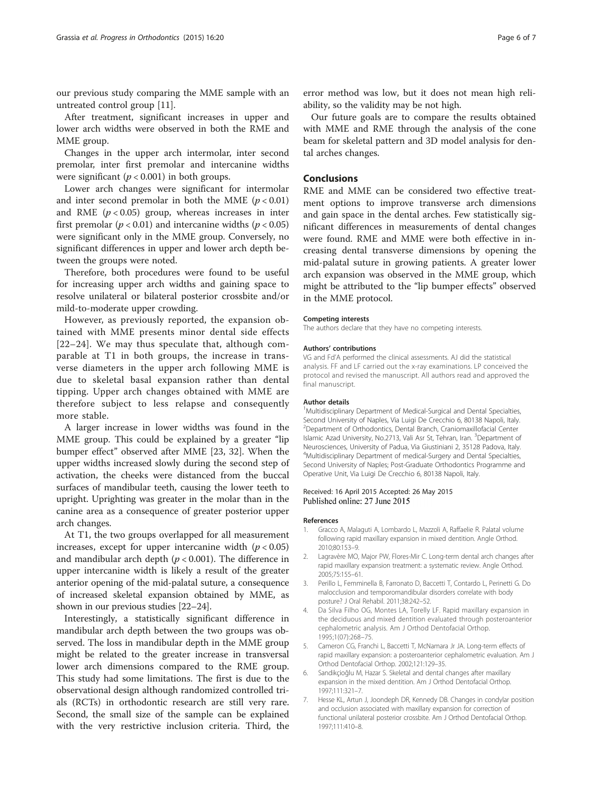<span id="page-5-0"></span>our previous study comparing the MME sample with an untreated control group [\[11](#page-6-0)].

After treatment, significant increases in upper and lower arch widths were observed in both the RME and MME group.

Changes in the upper arch intermolar, inter second premolar, inter first premolar and intercanine widths were significant ( $p < 0.001$ ) in both groups.

Lower arch changes were significant for intermolar and inter second premolar in both the MME ( $p < 0.01$ ) and RME  $(p < 0.05)$  group, whereas increases in inter first premolar ( $p < 0.01$ ) and intercanine widths ( $p < 0.05$ ) were significant only in the MME group. Conversely, no significant differences in upper and lower arch depth between the groups were noted.

Therefore, both procedures were found to be useful for increasing upper arch widths and gaining space to resolve unilateral or bilateral posterior crossbite and/or mild-to-moderate upper crowding.

However, as previously reported, the expansion obtained with MME presents minor dental side effects [[22](#page-6-0)–[24\]](#page-6-0). We may thus speculate that, although comparable at T1 in both groups, the increase in transverse diameters in the upper arch following MME is due to skeletal basal expansion rather than dental tipping. Upper arch changes obtained with MME are therefore subject to less relapse and consequently more stable.

A larger increase in lower widths was found in the MME group. This could be explained by a greater "lip bumper effect" observed after MME [[23](#page-6-0), [32\]](#page-6-0). When the upper widths increased slowly during the second step of activation, the cheeks were distanced from the buccal surfaces of mandibular teeth, causing the lower teeth to upright. Uprighting was greater in the molar than in the canine area as a consequence of greater posterior upper arch changes.

At T1, the two groups overlapped for all measurement increases, except for upper intercanine width  $(p < 0.05)$ and mandibular arch depth  $(p < 0.001)$ . The difference in upper intercanine width is likely a result of the greater anterior opening of the mid-palatal suture, a consequence of increased skeletal expansion obtained by MME, as shown in our previous studies [\[22](#page-6-0)–[24](#page-6-0)].

Interestingly, a statistically significant difference in mandibular arch depth between the two groups was observed. The loss in mandibular depth in the MME group might be related to the greater increase in transversal lower arch dimensions compared to the RME group. This study had some limitations. The first is due to the observational design although randomized controlled trials (RCTs) in orthodontic research are still very rare. Second, the small size of the sample can be explained with the very restrictive inclusion criteria. Third, the

error method was low, but it does not mean high reliability, so the validity may be not high.

Our future goals are to compare the results obtained with MME and RME through the analysis of the cone beam for skeletal pattern and 3D model analysis for dental arches changes.

#### Conclusions

RME and MME can be considered two effective treatment options to improve transverse arch dimensions and gain space in the dental arches. Few statistically significant differences in measurements of dental changes were found. RME and MME were both effective in increasing dental transverse dimensions by opening the mid-palatal suture in growing patients. A greater lower arch expansion was observed in the MME group, which might be attributed to the "lip bumper effects" observed in the MME protocol.

#### Competing interests

The authors declare that they have no competing interests.

#### Authors' contributions

VG and Fd'A performed the clinical assessments. AJ did the statistical analysis. FF and LF carried out the x-ray examinations. LP conceived the protocol and revised the manuscript. All authors read and approved the final manuscript.

#### Author details

<sup>1</sup>Multidisciplinary Department of Medical-Surgical and Dental Specialties Second University of Naples, Via Luigi De Crecchio 6, 80138 Napoli, Italy. <sup>2</sup> Department of Orthodontics, Dental Branch, Craniomaxillofacial Center Islamic Azad University, No.2713, Vali Asr St, Tehran, Iran. <sup>3</sup>Department of Neurosciences, University of Padua, Via Giustiniani 2, 35128 Padova, Italy. 4 Multidisciplinary Department of medical-Surgery and Dental Specialties, Second University of Naples; Post-Graduate Orthodontics Programme and Operative Unit, Via Luigi De Crecchio 6, 80138 Napoli, Italy.

#### Received: 16 April 2015 Accepted: 26 May 2015 Published online: 27 June 2015

#### References

- 1. Gracco A, Malaguti A, Lombardo L, Mazzoli A, Raffaelie R. Palatal volume following rapid maxillary expansion in mixed dentition. Angle Orthod. 2010;80:153–9.
- 2. Lagravère MO, Major PW, Flores-Mir C. Long-term dental arch changes after rapid maxillary expansion treatment: a systematic review. Angle Orthod. 2005;75:155–61.
- 3. Perillo L, Femminella B, Farronato D, Baccetti T, Contardo L, Perinetti G. Do malocclusion and temporomandibular disorders correlate with body posture? J Oral Rehabil. 2011;38:242–52.
- 4. Da Silva Filho OG, Montes LA, Torelly LF. Rapid maxillary expansion in the deciduous and mixed dentition evaluated through posteroanterior cephalometric analysis. Am J Orthod Dentofacial Orthop. 1995;1(07):268–75.
- 5. Cameron CG, Franchi L, Baccetti T, McNamara Jr JA. Long-term effects of rapid maxillary expansion: a posteroanterior cephalometric evaluation. Am J Orthod Dentofacial Orthop. 2002;121:129–35.
- 6. Sandikçioğlu M, Hazar S. Skeletal and dental changes after maxillary expansion in the mixed dentition. Am J Orthod Dentofacial Orthop. 1997;111:321–7.
- 7. Hesse KL, Artun J, Joondeph DR, Kennedy DB. Changes in condylar position and occlusion associated with maxillary expansion for correction of functional unilateral posterior crossbite. Am J Orthod Dentofacial Orthop. 1997;111:410–8.